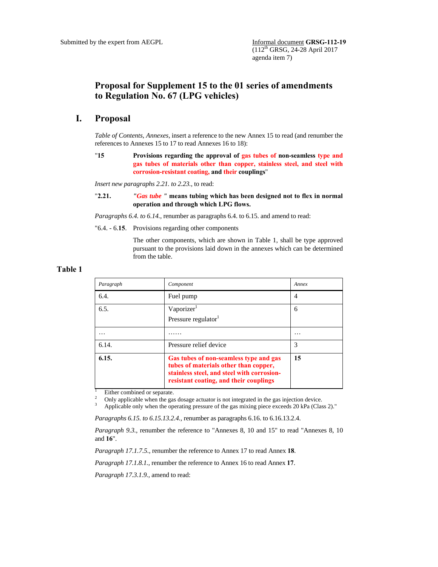# **Proposal for Supplement 15 to the 01 series of amendments to Regulation No. 67 (LPG vehicles)**

## **I. Proposal**

*Table of Contents, Annexes,* insert a reference to the new Annex 15 to read (and renumber the references to Annexes 15 to 17 to read Annexes 16 to 18):

"**15 Provisions regarding the approval of gas tubes of non-seamless type and gas tubes of materials other than copper, stainless steel, and steel with corrosion-resistant coating, and their couplings**"

*Insert new paragraphs 2.21. to 2.23.*, to read:

"**2.21.** *"Gas tube "* **means tubing which has been designed not to flex in normal operation and through which LPG flows.** 

*Paragraphs 6.4. to 6.14.,* renumber as paragraphs 6.4. to 6.15. and amend to read:

"6.4. - 6.**15**. Provisions regarding other components

The other components, which are shown in Table 1, shall be type approved pursuant to the provisions laid down in the annexes which can be determined from the table.

### **Table 1**

| Paragraph | Component                                                                                                                                                               | Annex    |
|-----------|-------------------------------------------------------------------------------------------------------------------------------------------------------------------------|----------|
| 6.4.      | Fuel pump                                                                                                                                                               | 4        |
| 6.5.      | Vaporizer <sup>1</sup><br>Pressure regulator <sup>1</sup>                                                                                                               | 6        |
| .         |                                                                                                                                                                         | $\cdots$ |
| 6.14.     | Pressure relief device                                                                                                                                                  | 3        |
| 6.15.     | Gas tubes of non-seamless type and gas<br>tubes of materials other than copper,<br>stainless steel, and steel with corrosion-<br>resistant coating, and their couplings | 15       |

1 Either combined or separate. 2

Only applicable when the gas dosage actuator is not integrated in the gas injection device.

3 Applicable only when the operating pressure of the gas mixing piece exceeds 20 kPa (Class 2)."

*Paragraphs 6.15. to 6.15.13.2.4.,* renumber as paragraphs 6.16. to 6.16.13.2.4.

*Paragraph 9.3.*, renumber the reference to "Annexes 8, 10 and 15" to read "Annexes 8, 10 and **16**".

*Paragraph 17.1.7.5.,* renumber the reference to Annex 17 to read Annex **18**.

*Paragraph 17.1.8.1.,* renumber the reference to Annex 16 to read Annex **17**.

*Paragraph 17.3.1.9.,* amend to read: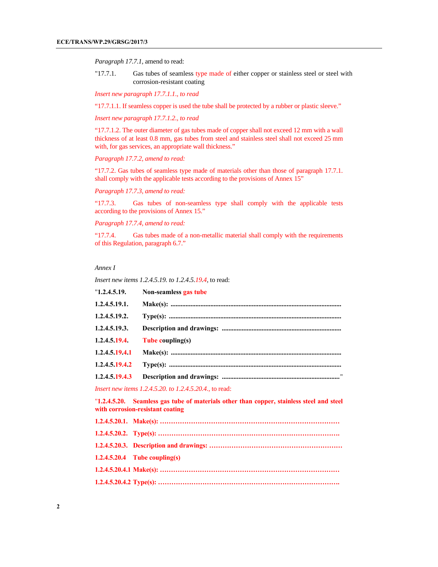*Paragraph 17.7.1,* amend to read:

"17.7.1. Gas tubes of seamless type made of either copper or stainless steel or steel with corrosion-resistant coating

*Insert new paragraph 17.7.1.1., to read* 

"17.7.1.1. If seamless copper is used the tube shall be protected by a rubber or plastic sleeve."

*Insert new paragraph 17.7.1.2., to read* 

"17.7.1.2. The outer diameter of gas tubes made of copper shall not exceed 12 mm with a wall thickness of at least 0.8 mm, gas tubes from steel and stainless steel shall not exceed 25 mm with, for gas services, an appropriate wall thickness."

*Paragraph 17.7.2, amend to read:* 

"17.7.2. Gas tubes of seamless type made of materials other than those of paragraph 17.7.1. shall comply with the applicable tests according to the provisions of Annex 15"

*Paragraph 17.7.3, amend to read:* 

"17.7.3. Gas tubes of non-seamless type shall comply with the applicable tests according to the provisions of Annex 15."

*Paragraph 17.7.4, amend to read:* 

"17.7.4. Gas tubes made of a non-metallic material shall comply with the requirements of this Regulation, paragraph 6.7."

#### *Annex I*

*Insert new items 1.2.4.5.19. to 1.2.4.5.19.4,* to read:

| "1.2.4.5.19.   | Non-seamless gas tube                                                                                                        |
|----------------|------------------------------------------------------------------------------------------------------------------------------|
| 1.2.4.5.19.1.  |                                                                                                                              |
| 1.2.4.5.19.2.  |                                                                                                                              |
| 1.2.4.5.19.3.  |                                                                                                                              |
| 1.2.4.5.19.4.  | Tube coupling(s)                                                                                                             |
| 1.2.4.5.19.4.1 |                                                                                                                              |
| 1.2.4.5.19.4.2 |                                                                                                                              |
| 1.2.4.5.19.4.3 |                                                                                                                              |
|                | <i>Insert new items 1.2.4.5.20. to 1.2.4.5.20.4., to read:</i>                                                               |
|                | "1.2.4.5.20. Seamless gas tube of materials other than copper, stainless steel and steel<br>with corrosion-resistant coating |
|                |                                                                                                                              |
|                |                                                                                                                              |
|                |                                                                                                                              |
|                | $1.2.4.5.20.4$ Tube coupling(s)                                                                                              |
|                |                                                                                                                              |
|                |                                                                                                                              |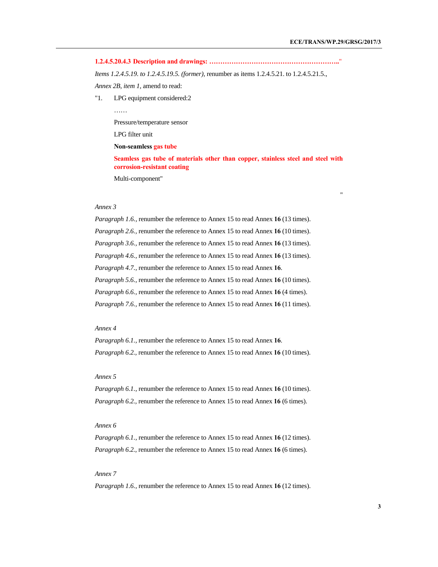"

**1.2.4.5.20.4.3 Description and drawings: …………………………………………………..**"

*Items 1.2.4.5.19. to 1.2.4.5.19.5. (former),* renumber as items 1.2.4.5.21. to 1.2.4.5.21.5., *Annex 2B, item 1,* amend to read:

"1. LPG equipment considered:2

……

Pressure/temperature sensor

LPG filter unit

 **Non-seamless gas tube**

**Seamless gas tube of materials other than copper, stainless steel and steel with corrosion-resistant coating**

Multi-component"

#### *Annex 3*

*Paragraph 1.6.,* renumber the reference to Annex 15 to read Annex **16** (13 times). *Paragraph 2.6.,* renumber the reference to Annex 15 to read Annex **16** (10 times). *Paragraph 3.6.,* renumber the reference to Annex 15 to read Annex **16** (13 times). *Paragraph 4.6.,* renumber the reference to Annex 15 to read Annex **16** (13 times). *Paragraph 4.7.,* renumber the reference to Annex 15 to read Annex **16**. *Paragraph 5.6.,* renumber the reference to Annex 15 to read Annex **16** (10 times). *Paragraph 6.6.,* renumber the reference to Annex 15 to read Annex **16** (4 times). *Paragraph 7.6.,* renumber the reference to Annex 15 to read Annex **16** (11 times).

#### *Annex 4*

*Paragraph 6.1.,* renumber the reference to Annex 15 to read Annex **16**. *Paragraph 6.2.,* renumber the reference to Annex 15 to read Annex **16** (10 times).

#### *Annex 5*

*Paragraph 6.1.,* renumber the reference to Annex 15 to read Annex **16** (10 times). *Paragraph 6.2.,* renumber the reference to Annex 15 to read Annex **16** (6 times).

#### *Annex 6*

*Paragraph 6.1.,* renumber the reference to Annex 15 to read Annex **16** (12 times). *Paragraph 6.2.,* renumber the reference to Annex 15 to read Annex **16** (6 times).

#### *Annex 7*

*Paragraph 1.6.,* renumber the reference to Annex 15 to read Annex **16** (12 times).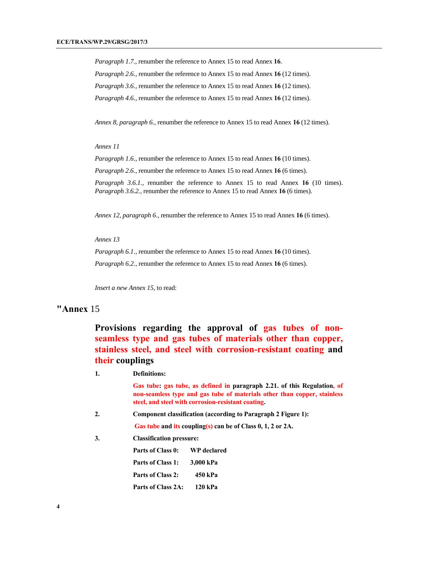*Paragraph 1.7.,* renumber the reference to Annex 15 to read Annex **16**. *Paragraph 2.6.,* renumber the reference to Annex 15 to read Annex **16** (12 times). *Paragraph 3.6.,* renumber the reference to Annex 15 to read Annex **16** (12 times). *Paragraph 4.6.,* renumber the reference to Annex 15 to read Annex **16** (12 times).

*Annex 8, paragraph 6.,* renumber the reference to Annex 15 to read Annex **16** (12 times).

*Annex 11* 

*Paragraph 1.6.,* renumber the reference to Annex 15 to read Annex **16** (10 times).

*Paragraph 2.6.,* renumber the reference to Annex 15 to read Annex **16** (6 times).

*Paragraph 3.6.1.,* renumber the reference to Annex 15 to read Annex **16** (10 times). *Paragraph 3.6.2.,* renumber the reference to Annex 15 to read Annex **16** (6 times).

*Annex 12, paragraph 6.,* renumber the reference to Annex 15 to read Annex **16** (6 times).

*Annex 13* 

*Paragraph 6.1.,* renumber the reference to Annex 15 to read Annex **16** (10 times). *Paragraph 6.2.,* renumber the reference to Annex 15 to read Annex **16** (6 times).

*Insert a new Annex 15,* to read:

## **"Annex** 15

**Provisions regarding the approval of gas tubes of nonseamless type and gas tubes of materials other than copper, stainless steel, and steel with corrosion-resistant coating and their couplings** 

| 1. | <b>Definitions:</b>                                           |                                                                                                                                                                                                            |  |  |
|----|---------------------------------------------------------------|------------------------------------------------------------------------------------------------------------------------------------------------------------------------------------------------------------|--|--|
|    |                                                               | Gas tube: gas tube, as defined in paragraph 2.21. of this Regulation, of<br>non-seamless type and gas tube of materials other than copper, stainless<br>steel, and steel with corrosion-resistant coating. |  |  |
| 2. | Component classification (according to Paragraph 2 Figure 1): |                                                                                                                                                                                                            |  |  |
|    | Gas tube and its coupling(s) can be of Class 0, 1, 2 or 2A.   |                                                                                                                                                                                                            |  |  |
| 3. | <b>Classification pressure:</b>                               |                                                                                                                                                                                                            |  |  |
|    | Parts of Class 0:                                             | <b>WP</b> declared                                                                                                                                                                                         |  |  |
|    | Parts of Class 1:                                             | 3.000 kPa                                                                                                                                                                                                  |  |  |
|    | Parts of Class 2:                                             | 450 kPa                                                                                                                                                                                                    |  |  |
|    | Parts of Class 2A:                                            | $120$ kPa                                                                                                                                                                                                  |  |  |
|    |                                                               |                                                                                                                                                                                                            |  |  |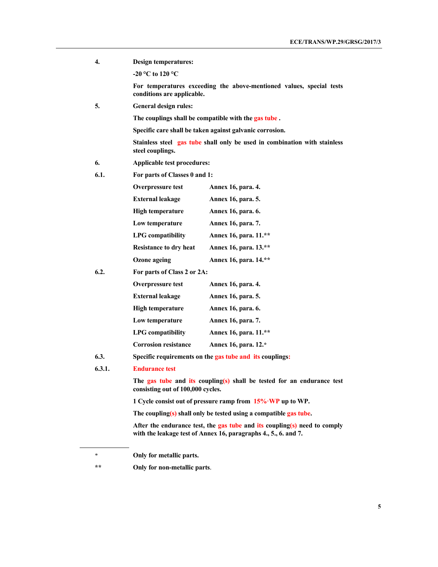| 4.     | Design temperatures:                                                                                        |                                                                                                                                              |  |  |
|--------|-------------------------------------------------------------------------------------------------------------|----------------------------------------------------------------------------------------------------------------------------------------------|--|--|
|        | -20 °C to 120 °C                                                                                            |                                                                                                                                              |  |  |
|        | conditions are applicable.                                                                                  | For temperatures exceeding the above-mentioned values, special tests                                                                         |  |  |
| 5.     | <b>General design rules:</b>                                                                                |                                                                                                                                              |  |  |
|        |                                                                                                             | The couplings shall be compatible with the gas tube.                                                                                         |  |  |
|        |                                                                                                             | Specific care shall be taken against galvanic corrosion.                                                                                     |  |  |
|        | steel couplings.                                                                                            | Stainless steel gas tube shall only be used in combination with stainless                                                                    |  |  |
| 6.     | Applicable test procedures:                                                                                 |                                                                                                                                              |  |  |
| 6.1.   | For parts of Classes 0 and 1:                                                                               |                                                                                                                                              |  |  |
|        | Overpressure test                                                                                           | <b>Annex 16, para. 4.</b>                                                                                                                    |  |  |
|        | <b>External leakage</b>                                                                                     | <b>Annex 16, para. 5.</b>                                                                                                                    |  |  |
|        | <b>High temperature</b>                                                                                     | Annex 16, para. 6.                                                                                                                           |  |  |
|        | Low temperature                                                                                             | <b>Annex 16, para. 7.</b>                                                                                                                    |  |  |
|        | <b>LPG</b> compatibility                                                                                    | Annex 16, para. 11.**                                                                                                                        |  |  |
|        | <b>Resistance to dry heat</b>                                                                               | Annex 16, para. 13.**                                                                                                                        |  |  |
|        | <b>Ozone</b> ageing                                                                                         | Annex 16, para. 14.**                                                                                                                        |  |  |
| 6.2.   |                                                                                                             | For parts of Class 2 or 2A:                                                                                                                  |  |  |
|        | <b>Overpressure test</b>                                                                                    | <b>Annex 16, para. 4.</b>                                                                                                                    |  |  |
|        | <b>External leakage</b>                                                                                     | Annex 16, para. 5.                                                                                                                           |  |  |
|        | <b>High temperature</b>                                                                                     | Annex 16, para. 6.                                                                                                                           |  |  |
|        | Low temperature                                                                                             | Annex 16, para. 7.                                                                                                                           |  |  |
|        | <b>LPG</b> compatibility                                                                                    | Annex 16, para. 11.**                                                                                                                        |  |  |
|        | <b>Corrosion resistance</b>                                                                                 | Annex 16, para. 12.*                                                                                                                         |  |  |
| 6.3.   | Specific requirements on the gas tube and its couplings:                                                    |                                                                                                                                              |  |  |
| 6.3.1. | <b>Endurance test</b>                                                                                       |                                                                                                                                              |  |  |
|        | The gas tube and its coupling(s) shall be tested for an endurance test<br>consisting out of 100,000 cycles. |                                                                                                                                              |  |  |
|        | 1 Cycle consist out of pressure ramp from $15\%$ WP up to WP.                                               |                                                                                                                                              |  |  |
|        | The coupling( $s$ ) shall only be tested using a compatible gas tube.                                       |                                                                                                                                              |  |  |
|        |                                                                                                             | After the endurance test, the gas tube and its coupling(s) need to comply<br>with the leakage test of Annex 16, paragraphs 4., 5., 6. and 7. |  |  |
| ∗      | Only for metallic parts.                                                                                    |                                                                                                                                              |  |  |

**\*\* Only for non-metallic parts**.

 $\overline{a}$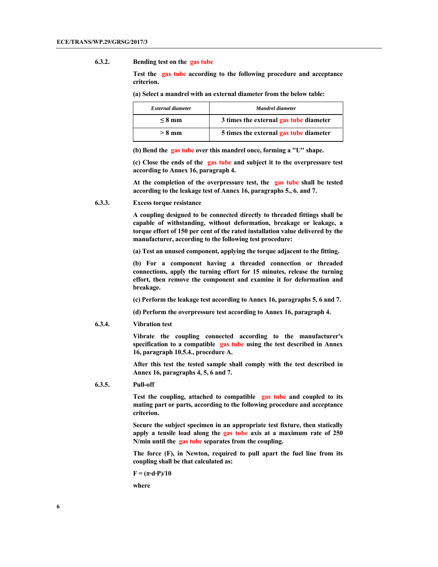#### **6.3.2. Bending test on the gas tube**

 **Test the gas tube according to the following procedure and acceptance criterion.** 

 **(a) Select a mandrel with an external diameter from the below table:** 

| External diameter | Mandrel diameter                       |
|-------------------|----------------------------------------|
| $\leq$ 8 mm       | 3 times the external gas tube diameter |
| $> 8 \text{ mm}$  | 5 times the external gas tube diameter |

 **(b) Bend the gas tube over this mandrel once, forming a "U" shape.** 

 **(c) Close the ends of the gas tube and subject it to the overpressure test according to Annex 16, paragraph 4.** 

 **At the completion of the overpressure test, the gas tube shall be tested according to the leakage test of Annex 16, paragraphs 5., 6. and 7.** 

**6.3.3. Excess torque resistance** 

 **A coupling designed to be connected directly to threaded fittings shall be capable of withstanding, without deformation, breakage or leakage, a torque effort of 150 per cent of the rated installation value delivered by the manufacturer, according to the following test procedure:** 

 **(a) Test an unused component, applying the torque adjacent to the fitting.** 

 **(b) For a component having a threaded connection or threaded connections, apply the turning effort for 15 minutes, release the turning effort, then remove the component and examine it for deformation and breakage.** 

 **(c) Perform the leakage test according to Annex 16, paragraphs 5, 6 and 7.** 

 **(d) Perform the overpressure test according to Annex 16, paragraph 4.** 

**6.3.4. Vibration test** 

 **Vibrate the coupling connected according to the manufacturer's specification to a compatible gas tube using the test described in Annex 16, paragraph 10.5.4., procedure A.** 

 **After this test the tested sample shall comply with the test described in Annex 16, paragraphs 4, 5, 6 and 7.** 

#### **6.3.5. Pull-off**

 **Test the coupling, attached to compatible gas tube and coupled to its mating part or parts, according to the following procedure and acceptance criterion.** 

 **Secure the subject specimen in an appropriate test fixture, then statically apply a tensile load along the gas tube axis at a maximum rate of 250 N/min until the gas tube separates from the coupling.** 

 **The force (F), in Newton, required to pull apart the fuel line from its coupling shall be that calculated as:** 

 $\mathbf{F} = (\pi \cdot \mathbf{d} \cdot \mathbf{P})/10$ 

 **where**